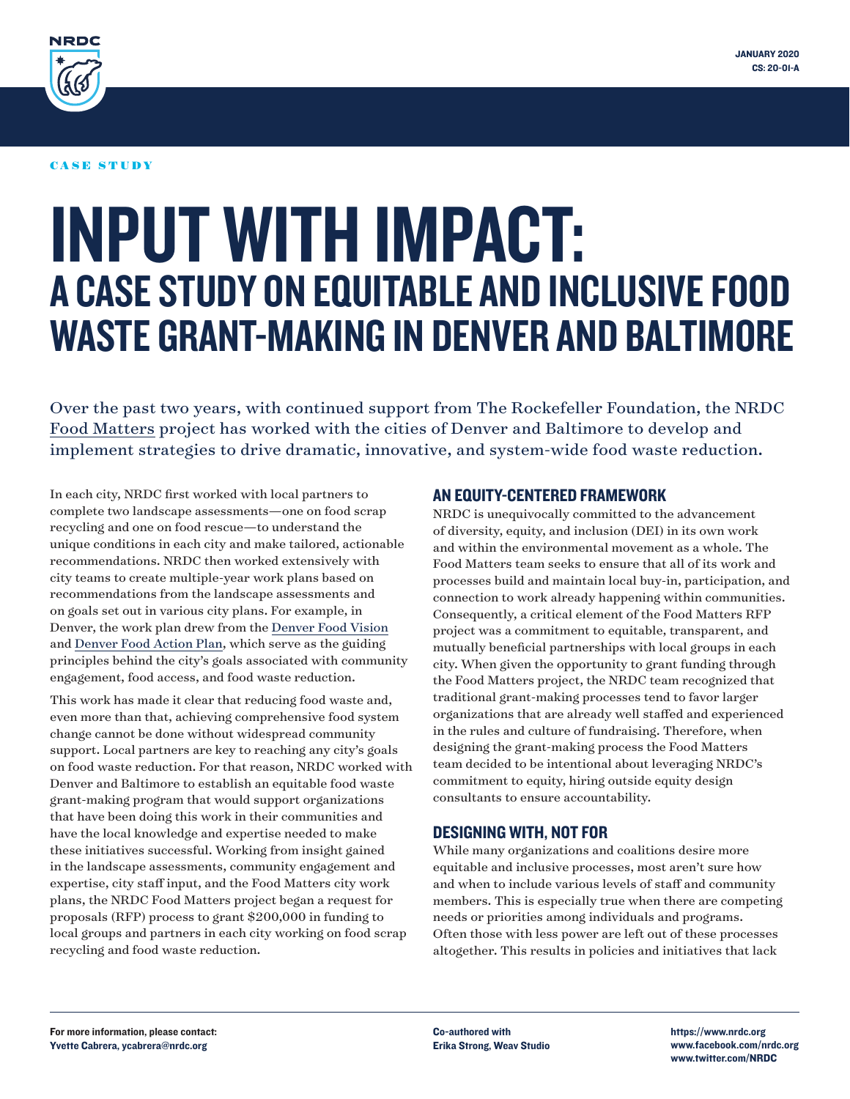

#### CASE STUDY

# INPUT WITH IMPACT: A CASE STUDY ON EQUITABLE AND INCLUSIVE FOOD WASTE GRANT-MAKING IN DENVER AND BALTIMORE

Over the past two years, with continued support from The Rockefeller Foundation, the NRDC [Food Matters](https://www.nrdc.org/food-matters) project has worked with the cities of Denver and Baltimore to develop and implement strategies to drive dramatic, innovative, and system-wide food waste reduction.

In each city, NRDC first worked with local partners to complete two landscape assessments—one on food scrap recycling and one on food rescue—to understand the unique conditions in each city and make tailored, actionable recommendations. NRDC then worked extensively with city teams to create multiple-year work plans based on recommendations from the landscape assessments and on goals set out in various city plans. For example, in Denver, the work plan drew from the [Denver Food Vision](https://www.denvergov.org/content/dam/denvergov/Portals/771/documents/CH/Final_FoodVision_120717.pdf) and [Denver Food Action Plan](https://www.denvergov.org/content/dam/denvergov/Portals/771/documents/CH/Food Action Plan/DenverFoodActionPlan.pdf), which serve as the guiding principles behind the city's goals associated with community engagement, food access, and food waste reduction.

This work has made it clear that reducing food waste and, even more than that, achieving comprehensive food system change cannot be done without widespread community support. Local partners are key to reaching any city's goals on food waste reduction. For that reason, NRDC worked with Denver and Baltimore to establish an equitable food waste grant-making program that would support organizations that have been doing this work in their communities and have the local knowledge and expertise needed to make these initiatives successful. Working from insight gained in the landscape assessments, community engagement and expertise, city staff input, and the Food Matters city work plans, the NRDC Food Matters project began a request for proposals (RFP) process to grant \$200,000 in funding to local groups and partners in each city working on food scrap recycling and food waste reduction.

#### AN EQUITY-CENTERED FRAMEWORK

NRDC is unequivocally committed to the advancement of diversity, equity, and inclusion (DEI) in its own work and within the environmental movement as a whole. The Food Matters team seeks to ensure that all of its work and processes build and maintain local buy-in, participation, and connection to work already happening within communities. Consequently, a critical element of the Food Matters RFP project was a commitment to equitable, transparent, and mutually beneficial partnerships with local groups in each city. When given the opportunity to grant funding through the Food Matters project, the NRDC team recognized that traditional grant-making processes tend to favor larger organizations that are already well staffed and experienced in the rules and culture of fundraising. Therefore, when designing the grant-making process the Food Matters team decided to be intentional about leveraging NRDC's commitment to equity, hiring outside equity design consultants to ensure accountability.

#### DESIGNING WITH, NOT FOR

While many organizations and coalitions desire more equitable and inclusive processes, most aren't sure how and when to include various levels of staff and community members. This is especially true when there are competing needs or priorities among individuals and programs. Often those with less power are left out of these processes altogether. This results in policies and initiatives that lack

https://www.nrdc.org www.facebook.com/nrdc.org www.twitter.com/NRDC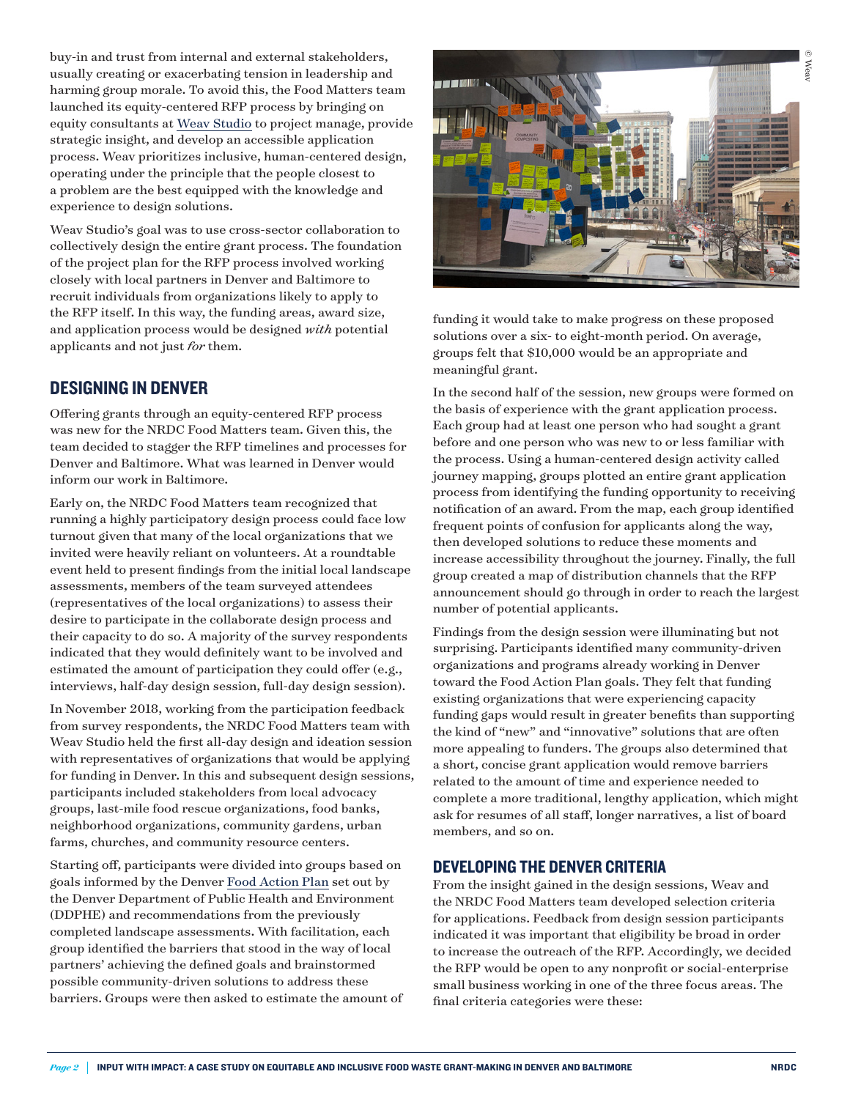buy-in and trust from internal and external stakeholders, usually creating or exacerbating tension in leadership and harming group morale. To avoid this, the Food Matters team launched its equity-centered RFP process by bringing on equity consultants at [Weav Studio](https://www.weavstudio.com/) to project manage, provide strategic insight, and develop an accessible application process. Weav prioritizes inclusive, human-centered design, operating under the principle that the people closest to a problem are the best equipped with the knowledge and experience to design solutions.

Weav Studio's goal was to use cross-sector collaboration to collectively design the entire grant process. The foundation of the project plan for the RFP process involved working closely with local partners in Denver and Baltimore to recruit individuals from organizations likely to apply to the RFP itself. In this way, the funding areas, award size, and application process would be designed *with* potential applicants and not just *for* them.

## DESIGNING IN DENVER

Offering grants through an equity-centered RFP process was new for the NRDC Food Matters team. Given this, the team decided to stagger the RFP timelines and processes for Denver and Baltimore. What was learned in Denver would inform our work in Baltimore.

Early on, the NRDC Food Matters team recognized that running a highly participatory design process could face low turnout given that many of the local organizations that we invited were heavily reliant on volunteers. At a roundtable event held to present findings from the initial local landscape assessments, members of the team surveyed attendees (representatives of the local organizations) to assess their desire to participate in the collaborate design process and their capacity to do so. A majority of the survey respondents indicated that they would definitely want to be involved and estimated the amount of participation they could offer (e.g., interviews, half-day design session, full-day design session).

In November 2018, working from the participation feedback from survey respondents, the NRDC Food Matters team with Weav Studio held the first all-day design and ideation session with representatives of organizations that would be applying for funding in Denver. In this and subsequent design sessions, participants included stakeholders from local advocacy groups, last-mile food rescue organizations, food banks, neighborhood organizations, community gardens, urban farms, churches, and community resource centers.

Starting off, participants were divided into groups based on goals informed by the Denver [Food Action Plan](https://www.denvergov.org/content/denvergov/en/environmental-health/about-us/news-room/2018/FoodPlan.html) set out by the Denver Department of Public Health and Environment (DDPHE) and recommendations from the previously completed landscape assessments. With facilitation, each group identified the barriers that stood in the way of local partners' achieving the defined goals and brainstormed possible community-driven solutions to address these barriers. Groups were then asked to estimate the amount of



funding it would take to make progress on these proposed solutions over a six- to eight-month period. On average, groups felt that \$10,000 would be an appropriate and meaningful grant.

In the second half of the session, new groups were formed on the basis of experience with the grant application process. Each group had at least one person who had sought a grant before and one person who was new to or less familiar with the process. Using a human-centered design activity called journey mapping, groups plotted an entire grant application process from identifying the funding opportunity to receiving notification of an award. From the map, each group identified frequent points of confusion for applicants along the way, then developed solutions to reduce these moments and increase accessibility throughout the journey. Finally, the full group created a map of distribution channels that the RFP announcement should go through in order to reach the largest number of potential applicants.

Findings from the design session were illuminating but not surprising. Participants identified many community-driven organizations and programs already working in Denver toward the Food Action Plan goals. They felt that funding existing organizations that were experiencing capacity funding gaps would result in greater benefits than supporting the kind of "new" and "innovative" solutions that are often more appealing to funders. The groups also determined that a short, concise grant application would remove barriers related to the amount of time and experience needed to complete a more traditional, lengthy application, which might ask for resumes of all staff, longer narratives, a list of board members, and so on.

#### DEVELOPING THE DENVER CRITERIA

From the insight gained in the design sessions, Weav and the NRDC Food Matters team developed selection criteria for applications. Feedback from design session participants indicated it was important that eligibility be broad in order to increase the outreach of the RFP. Accordingly, we decided the RFP would be open to any nonprofit or social-enterprise small business working in one of the three focus areas. The final criteria categories were these: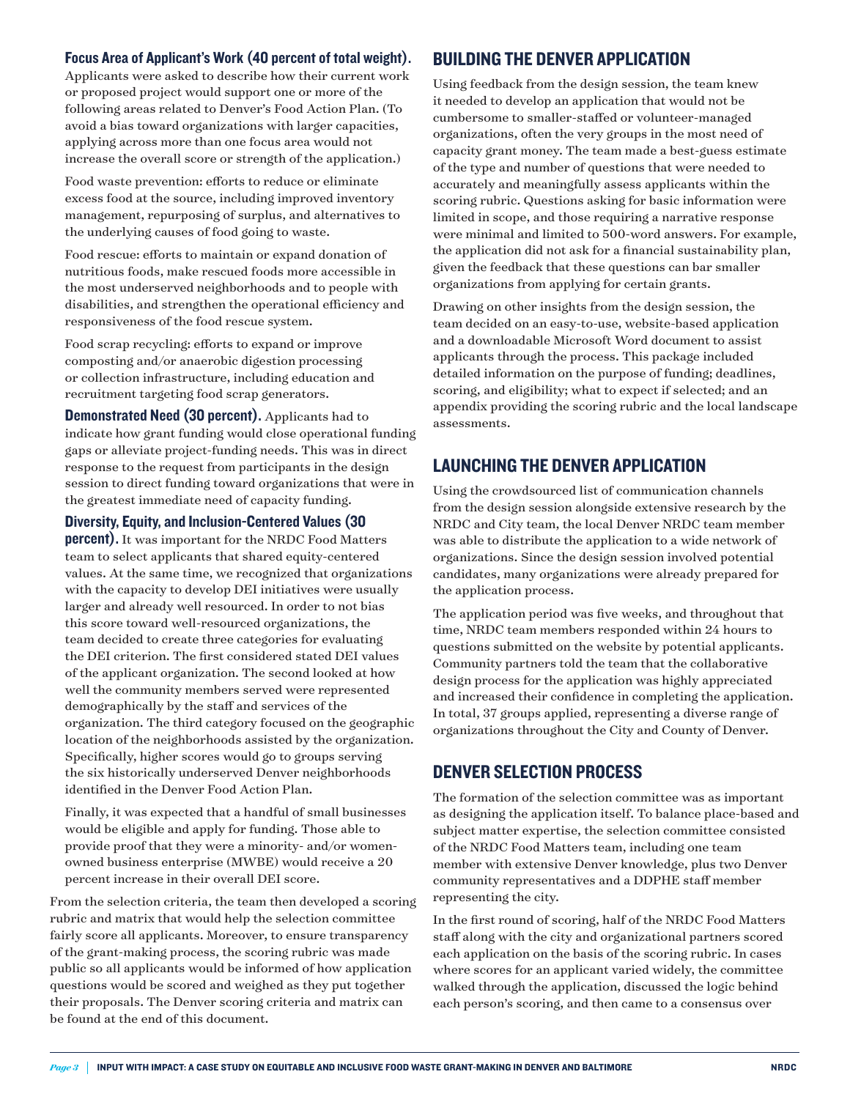#### Focus Area of Applicant's Work (40 percent of total weight).

Applicants were asked to describe how their current work or proposed project would support one or more of the following areas related to Denver's Food Action Plan. (To avoid a bias toward organizations with larger capacities, applying across more than one focus area would not increase the overall score or strength of the application.)

 Food waste prevention: efforts to reduce or eliminate excess food at the source, including improved inventory management, repurposing of surplus, and alternatives to the underlying causes of food going to waste.

 Food rescue: efforts to maintain or expand donation of nutritious foods, make rescued foods more accessible in the most underserved neighborhoods and to people with disabilities, and strengthen the operational efficiency and responsiveness of the food rescue system.

 Food scrap recycling: efforts to expand or improve composting and/or anaerobic digestion processing or collection infrastructure, including education and recruitment targeting food scrap generators.

Demonstrated Need (30 percent). Applicants had to indicate how grant funding would close operational funding gaps or alleviate project-funding needs. This was in direct response to the request from participants in the design session to direct funding toward organizations that were in the greatest immediate need of capacity funding.

Diversity, Equity, and Inclusion-Centered Values (30

**percent).** It was important for the NRDC Food Matters team to select applicants that shared equity-centered values. At the same time, we recognized that organizations with the capacity to develop DEI initiatives were usually larger and already well resourced. In order to not bias this score toward well-resourced organizations, the team decided to create three categories for evaluating the DEI criterion. The first considered stated DEI values of the applicant organization. The second looked at how well the community members served were represented demographically by the staff and services of the organization. The third category focused on the geographic location of the neighborhoods assisted by the organization. Specifically, higher scores would go to groups serving the six historically underserved Denver neighborhoods identified in the Denver Food Action Plan.

 Finally, it was expected that a handful of small businesses would be eligible and apply for funding. Those able to provide proof that they were a minority- and/or womenowned business enterprise (MWBE) would receive a 20 percent increase in their overall DEI score.

From the selection criteria, the team then developed a scoring rubric and matrix that would help the selection committee fairly score all applicants. Moreover, to ensure transparency of the grant-making process, the scoring rubric was made public so all applicants would be informed of how application questions would be scored and weighed as they put together their proposals. The Denver scoring criteria and matrix can be found at the end of this document.

## BUILDING THE DENVER APPLICATION

Using feedback from the design session, the team knew it needed to develop an application that would not be cumbersome to smaller-staffed or volunteer-managed organizations, often the very groups in the most need of capacity grant money. The team made a best-guess estimate of the type and number of questions that were needed to accurately and meaningfully assess applicants within the scoring rubric. Questions asking for basic information were limited in scope, and those requiring a narrative response were minimal and limited to 500-word answers. For example, the application did not ask for a financial sustainability plan, given the feedback that these questions can bar smaller organizations from applying for certain grants.

Drawing on other insights from the design session, the team decided on an easy-to-use, website-based application and a downloadable Microsoft Word document to assist applicants through the process. This package included detailed information on the purpose of funding; deadlines, scoring, and eligibility; what to expect if selected; and an appendix providing the scoring rubric and the local landscape assessments.

## LAUNCHING THE DENVER APPLICATION

Using the crowdsourced list of communication channels from the design session alongside extensive research by the NRDC and City team, the local Denver NRDC team member was able to distribute the application to a wide network of organizations. Since the design session involved potential candidates, many organizations were already prepared for the application process.

The application period was five weeks, and throughout that time, NRDC team members responded within 24 hours to questions submitted on the website by potential applicants. Community partners told the team that the collaborative design process for the application was highly appreciated and increased their confidence in completing the application. In total, 37 groups applied, representing a diverse range of organizations throughout the City and County of Denver.

## DENVER SELECTION PROCESS

The formation of the selection committee was as important as designing the application itself. To balance place-based and subject matter expertise, the selection committee consisted of the NRDC Food Matters team, including one team member with extensive Denver knowledge, plus two Denver community representatives and a DDPHE staff member representing the city.

In the first round of scoring, half of the NRDC Food Matters staff along with the city and organizational partners scored each application on the basis of the scoring rubric. In cases where scores for an applicant varied widely, the committee walked through the application, discussed the logic behind each person's scoring, and then came to a consensus over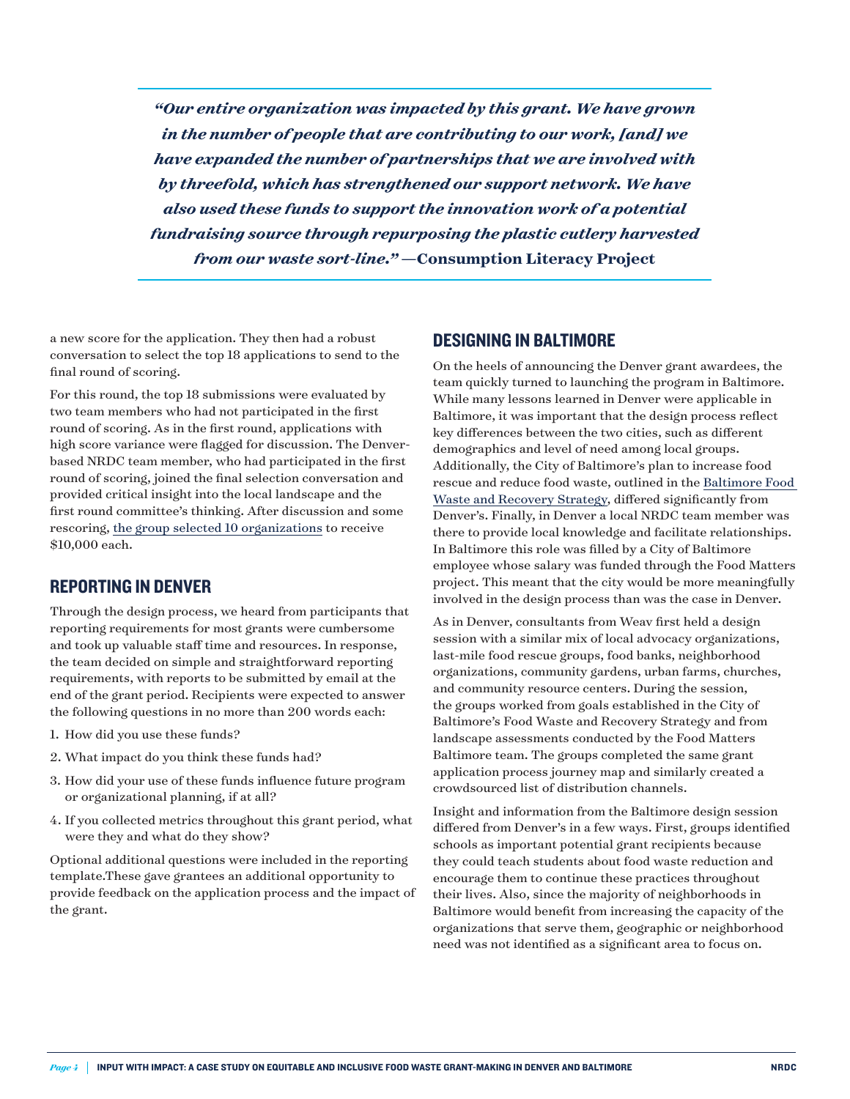*"Our entire organization was impacted by this grant. We have grown in the number of people that are contributing to our work, [and] we have expanded the number of partnerships that we are involved with by threefold, which has strengthened our support network. We have also used these funds to support the innovation work of a potential fundraising source through repurposing the plastic cutlery harvested from our waste sort-line."* **—Consumption Literacy Project**

a new score for the application. They then had a robust conversation to select the top 18 applications to send to the final round of scoring.

For this round, the top 18 submissions were evaluated by two team members who had not participated in the first round of scoring. As in the first round, applications with high score variance were flagged for discussion. The Denverbased NRDC team member, who had participated in the first round of scoring, joined the final selection conversation and provided critical insight into the local landscape and the first round committee's thinking. After discussion and some rescoring, [the group selected 10 organizations](https://www.nrdc.org/experts/elizabeth-balkan/10-denver-organizations-win-grants-fight-food-waste) to receive \$10,000 each.

#### REPORTING IN DENVER

Through the design process, we heard from participants that reporting requirements for most grants were cumbersome and took up valuable staff time and resources. In response, the team decided on simple and straightforward reporting requirements, with reports to be submitted by email at the end of the grant period. Recipients were expected to answer the following questions in no more than 200 words each:

- 1. How did you use these funds?
- 2. What impact do you think these funds had?
- 3. How did your use of these funds influence future program or organizational planning, if at all?
- 4. If you collected metrics throughout this grant period, what were they and what do they show?

Optional additional questions were included in the reporting template.These gave grantees an additional opportunity to provide feedback on the application process and the impact of the grant.

#### DESIGNING IN BALTIMORE

On the heels of announcing the Denver grant awardees, the team quickly turned to launching the program in Baltimore. While many lessons learned in Denver were applicable in Baltimore, it was important that the design process reflect key differences between the two cities, such as different demographics and level of need among local groups. Additionally, the City of Baltimore's plan to increase food rescue and reduce food waste, outlined in the [Baltimore Food](https://mayor.baltimorecity.gov/sites/default/files/BaltimoreFoodWaste&RecoveryStrategy_Sept2018.pdf)  [Waste and Recovery Strategy,](https://mayor.baltimorecity.gov/sites/default/files/BaltimoreFoodWaste&RecoveryStrategy_Sept2018.pdf) differed significantly from Denver's. Finally, in Denver a local NRDC team member was there to provide local knowledge and facilitate relationships. In Baltimore this role was filled by a City of Baltimore employee whose salary was funded through the Food Matters project. This meant that the city would be more meaningfully involved in the design process than was the case in Denver.

As in Denver, consultants from Weav first held a design session with a similar mix of local advocacy organizations, last-mile food rescue groups, food banks, neighborhood organizations, community gardens, urban farms, churches, and community resource centers. During the session, the groups worked from goals established in the City of Baltimore's Food Waste and Recovery Strategy and from landscape assessments conducted by the Food Matters Baltimore team. The groups completed the same grant application process journey map and similarly created a crowdsourced list of distribution channels.

Insight and information from the Baltimore design session differed from Denver's in a few ways. First, groups identified schools as important potential grant recipients because they could teach students about food waste reduction and encourage them to continue these practices throughout their lives. Also, since the majority of neighborhoods in Baltimore would benefit from increasing the capacity of the organizations that serve them, geographic or neighborhood need was not identified as a significant area to focus on.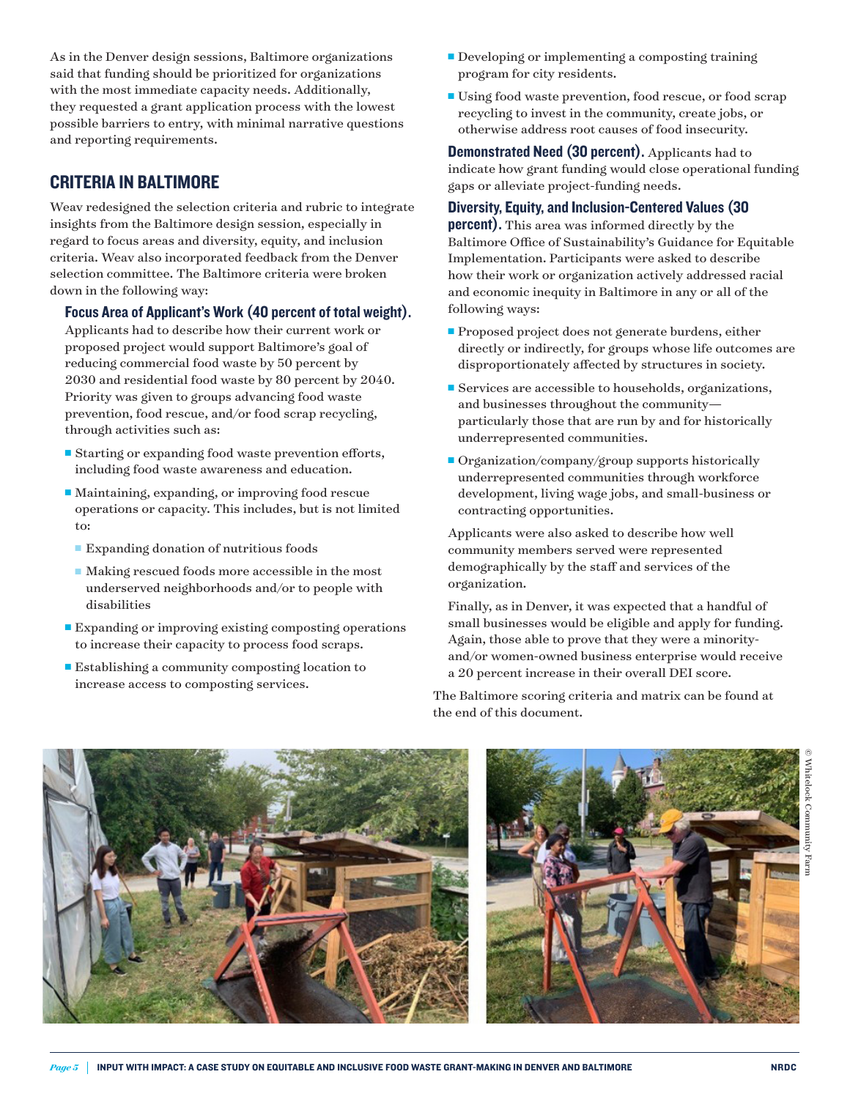As in the Denver design sessions, Baltimore organizations said that funding should be prioritized for organizations with the most immediate capacity needs. Additionally, they requested a grant application process with the lowest possible barriers to entry, with minimal narrative questions and reporting requirements.

# CRITERIA IN BALTIMORE

Weav redesigned the selection criteria and rubric to integrate insights from the Baltimore design session, especially in regard to focus areas and diversity, equity, and inclusion criteria. Weav also incorporated feedback from the Denver selection committee. The Baltimore criteria were broken down in the following way:

#### Focus Area of Applicant's Work (40 percent of total weight).

Applicants had to describe how their current work or proposed project would support Baltimore's goal of reducing commercial food waste by 50 percent by 2030 and residential food waste by 80 percent by 2040. Priority was given to groups advancing food waste prevention, food rescue, and/or food scrap recycling, through activities such as:

- $\blacksquare$  Starting or expanding food waste prevention efforts, including food waste awareness and education.
- $\blacksquare$  Maintaining, expanding, or improving food rescue operations or capacity. This includes, but is not limited to:
	- $\blacksquare$  Expanding donation of nutritious foods
	- $\blacksquare$  Making rescued foods more accessible in the most underserved neighborhoods and/or to people with disabilities
- Expanding or improving existing composting operations to increase their capacity to process food scraps.
- Establishing a community composting location to increase access to composting services.
- $\blacksquare$  Developing or implementing a composting training program for city residents.
- Using food waste prevention, food rescue, or food scrap recycling to invest in the community, create jobs, or otherwise address root causes of food insecurity.

Demonstrated Need (30 percent). Applicants had to indicate how grant funding would close operational funding gaps or alleviate project-funding needs.

## Diversity, Equity, and Inclusion-Centered Values (30

percent). This area was informed directly by the Baltimore Office of Sustainability's Guidance for Equitable Implementation. Participants were asked to describe how their work or organization actively addressed racial and economic inequity in Baltimore in any or all of the following ways:

- **Proposed project does not generate burdens, either** directly or indirectly, for groups whose life outcomes are disproportionately affected by structures in society.
- $\blacksquare$  Services are accessible to households, organizations, and businesses throughout the community particularly those that are run by and for historically underrepresented communities.
- $\blacksquare$  Organization/company/group supports historically underrepresented communities through workforce development, living wage jobs, and small-business or contracting opportunities.

 Applicants were also asked to describe how well community members served were represented demographically by the staff and services of the organization.

 Finally, as in Denver, it was expected that a handful of small businesses would be eligible and apply for funding. Again, those able to prove that they were a minorityand/or women-owned business enterprise would receive a 20 percent increase in their overall DEI score.

The Baltimore scoring criteria and matrix can be found at the end of this document.





© Whitelock Community Farm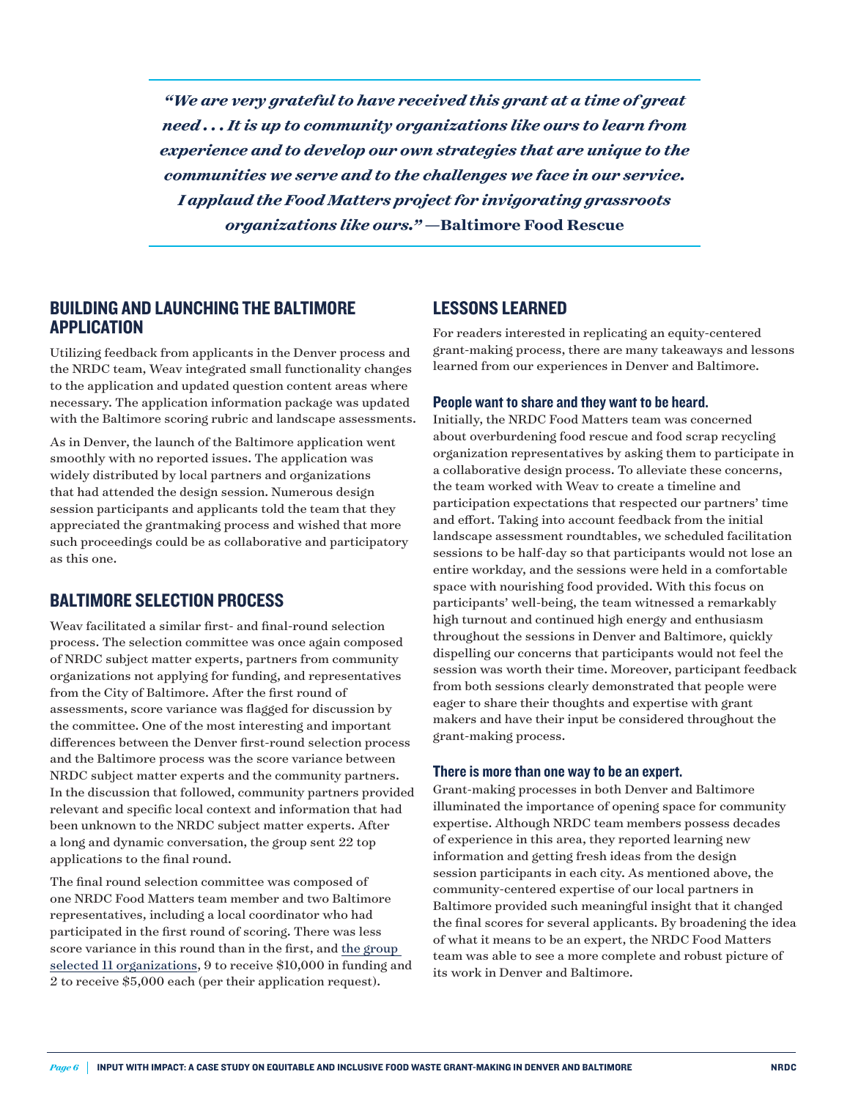*"We are very grateful to have received this grant at a time of great need . . . It is up to community organizations like ours to learn from experience and to develop our own strategies that are unique to the communities we serve and to the challenges we face in our service. I applaud the Food Matters project for invigorating grassroots organizations like ours."* **—Baltimore Food Rescue**

# BUILDING AND LAUNCHING THE BALTIMORE APPLICATION

Utilizing feedback from applicants in the Denver process and the NRDC team, Weav integrated small functionality changes to the application and updated question content areas where necessary. The application information package was updated with the Baltimore scoring rubric and landscape assessments.

As in Denver, the launch of the Baltimore application went smoothly with no reported issues. The application was widely distributed by local partners and organizations that had attended the design session. Numerous design session participants and applicants told the team that they appreciated the grantmaking process and wished that more such proceedings could be as collaborative and participatory as this one.

#### BALTIMORE SELECTION PROCESS

Weav facilitated a similar first- and final-round selection process. The selection committee was once again composed of NRDC subject matter experts, partners from community organizations not applying for funding, and representatives from the City of Baltimore. After the first round of assessments, score variance was flagged for discussion by the committee. One of the most interesting and important differences between the Denver first-round selection process and the Baltimore process was the score variance between NRDC subject matter experts and the community partners. In the discussion that followed, community partners provided relevant and specific local context and information that had been unknown to the NRDC subject matter experts. After a long and dynamic conversation, the group sent 22 top applications to the final round.

The final round selection committee was composed of one NRDC Food Matters team member and two Baltimore representatives, including a local coordinator who had participated in the first round of scoring. There was less score variance in this round than in the first, and [the group](https://www.nrdc.org/experts/margaret-brown/11-baltimore-organizations-win-grants-tackle-food-waste)  [selected 11 organizations,](https://www.nrdc.org/experts/margaret-brown/11-baltimore-organizations-win-grants-tackle-food-waste) 9 to receive \$10,000 in funding and 2 to receive \$5,000 each (per their application request).

## LESSONS LEARNED

For readers interested in replicating an equity-centered grant-making process, there are many takeaways and lessons learned from our experiences in Denver and Baltimore.

#### People want to share and they want to be heard.

Initially, the NRDC Food Matters team was concerned about overburdening food rescue and food scrap recycling organization representatives by asking them to participate in a collaborative design process. To alleviate these concerns, the team worked with Weav to create a timeline and participation expectations that respected our partners' time and effort. Taking into account feedback from the initial landscape assessment roundtables, we scheduled facilitation sessions to be half-day so that participants would not lose an entire workday, and the sessions were held in a comfortable space with nourishing food provided. With this focus on participants' well-being, the team witnessed a remarkably high turnout and continued high energy and enthusiasm throughout the sessions in Denver and Baltimore, quickly dispelling our concerns that participants would not feel the session was worth their time. Moreover, participant feedback from both sessions clearly demonstrated that people were eager to share their thoughts and expertise with grant makers and have their input be considered throughout the grant-making process.

#### There is more than one way to be an expert.

Grant-making processes in both Denver and Baltimore illuminated the importance of opening space for community expertise. Although NRDC team members possess decades of experience in this area, they reported learning new information and getting fresh ideas from the design session participants in each city. As mentioned above, the community-centered expertise of our local partners in Baltimore provided such meaningful insight that it changed the final scores for several applicants. By broadening the idea of what it means to be an expert, the NRDC Food Matters team was able to see a more complete and robust picture of its work in Denver and Baltimore.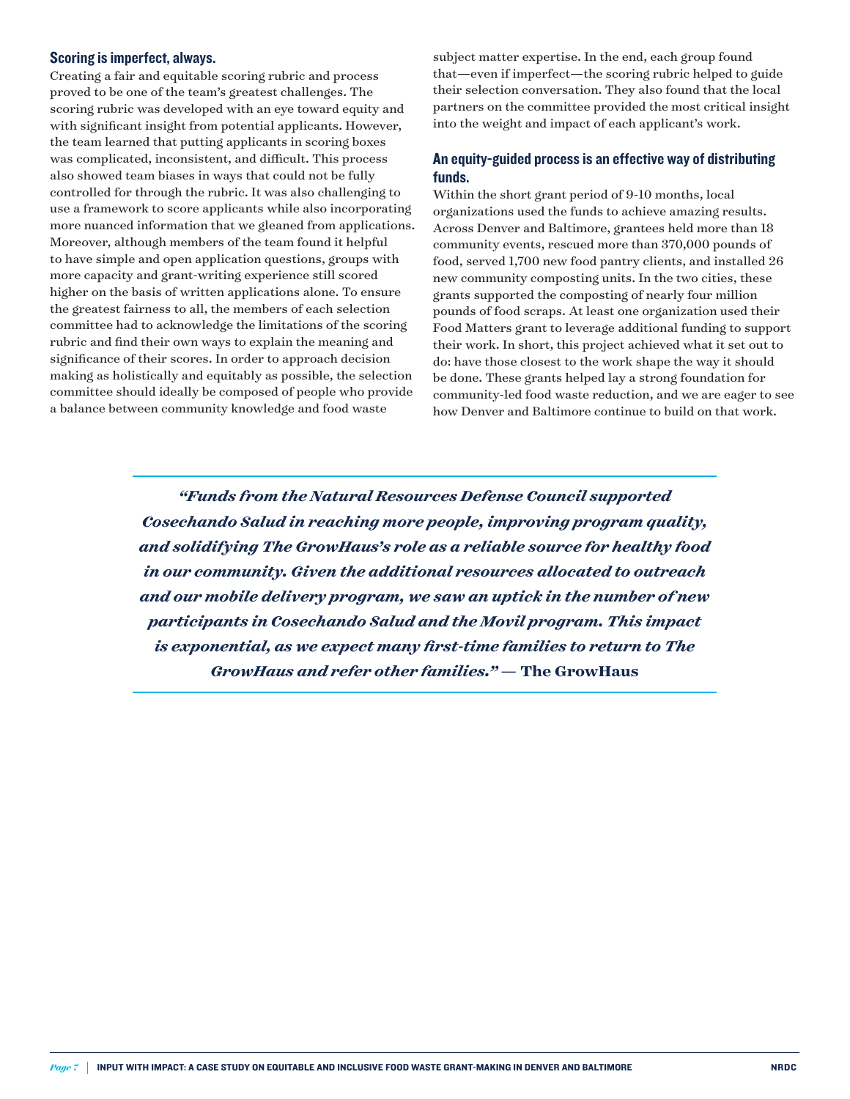#### Scoring is imperfect, always.

Creating a fair and equitable scoring rubric and process proved to be one of the team's greatest challenges. The scoring rubric was developed with an eye toward equity and with significant insight from potential applicants. However, the team learned that putting applicants in scoring boxes was complicated, inconsistent, and difficult. This process also showed team biases in ways that could not be fully controlled for through the rubric. It was also challenging to use a framework to score applicants while also incorporating more nuanced information that we gleaned from applications. Moreover, although members of the team found it helpful to have simple and open application questions, groups with more capacity and grant-writing experience still scored higher on the basis of written applications alone. To ensure the greatest fairness to all, the members of each selection committee had to acknowledge the limitations of the scoring rubric and find their own ways to explain the meaning and significance of their scores. In order to approach decision making as holistically and equitably as possible, the selection committee should ideally be composed of people who provide a balance between community knowledge and food waste

subject matter expertise. In the end, each group found that—even if imperfect—the scoring rubric helped to guide their selection conversation. They also found that the local partners on the committee provided the most critical insight into the weight and impact of each applicant's work.

#### An equity-guided process is an effective way of distributing funds.

Within the short grant period of 9-10 months, local organizations used the funds to achieve amazing results. Across Denver and Baltimore, grantees held more than 18 community events, rescued more than 370,000 pounds of food, served 1,700 new food pantry clients, and installed 26 new community composting units. In the two cities, these grants supported the composting of nearly four million pounds of food scraps. At least one organization used their Food Matters grant to leverage additional funding to support their work. In short, this project achieved what it set out to do: have those closest to the work shape the way it should be done. These grants helped lay a strong foundation for community-led food waste reduction, and we are eager to see how Denver and Baltimore continue to build on that work.

*"Funds from the Natural Resources Defense Council supported Cosechando Salud in reaching more people, improving program quality, and solidifying The GrowHaus's role as a reliable source for healthy food in our community. Given the additional resources allocated to outreach and our mobile delivery program, we saw an uptick in the number of new participants in Cosechando Salud and the Movil program. This impact is exponential, as we expect many first-time families to return to The GrowHaus and refer other families."* **— The GrowHaus**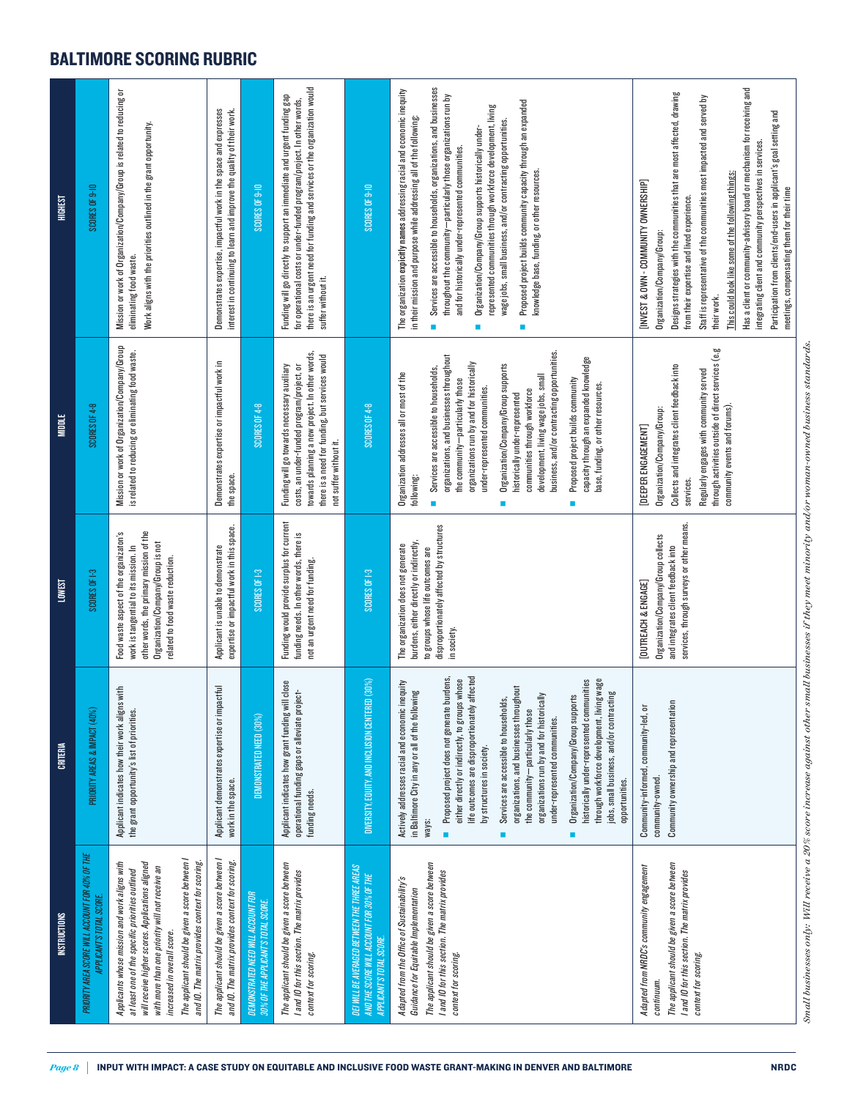# BALTIMORE SCORING RUBRIC

| PRIORITY AREA SCORE WILL ACCOUNT FOR 40% OF THE<br>APPLICANT'S TOTAL SCORE<br>INSTRUCTIONS                                                                                                                                                                                                                                                      | PRIORITY AREAS & IMPACT (40%)<br>CRITERIA                                                                                                                                                                                                                                                                                                                                                                                                                                                                                                                                                                                                                                                                 | SCORES OF 1-3<br><b>LOWEST</b>                                                                                                                                                                      | SCORES OF 4-8<br><b>MIDDLE</b>                                                                                                                                                                                                                                                                                                                                                                                                                                                                                                                                                        | SCORES OF 9-10<br><b>HIGHEST</b>                                                                                                                                                                                                                                                                                                                                                                                                                                                                                                                                                                                                                                           |
|-------------------------------------------------------------------------------------------------------------------------------------------------------------------------------------------------------------------------------------------------------------------------------------------------------------------------------------------------|-----------------------------------------------------------------------------------------------------------------------------------------------------------------------------------------------------------------------------------------------------------------------------------------------------------------------------------------------------------------------------------------------------------------------------------------------------------------------------------------------------------------------------------------------------------------------------------------------------------------------------------------------------------------------------------------------------------|-----------------------------------------------------------------------------------------------------------------------------------------------------------------------------------------------------|---------------------------------------------------------------------------------------------------------------------------------------------------------------------------------------------------------------------------------------------------------------------------------------------------------------------------------------------------------------------------------------------------------------------------------------------------------------------------------------------------------------------------------------------------------------------------------------|----------------------------------------------------------------------------------------------------------------------------------------------------------------------------------------------------------------------------------------------------------------------------------------------------------------------------------------------------------------------------------------------------------------------------------------------------------------------------------------------------------------------------------------------------------------------------------------------------------------------------------------------------------------------------|
| The applicant should be given a score between I<br>and IQ. The matrix provides context for scoring.<br>will receive higher scores. Applications aligned<br>Applicants whose mission and work aligns with<br>with more than one priority will not receive an<br>at least one of the specific priorities ou flined<br>increased in overall score. | Applicant indicates how their work aligns with<br>the grant opportunity's list of priorities.                                                                                                                                                                                                                                                                                                                                                                                                                                                                                                                                                                                                             | other words, the primary mission of the<br>Food waste aspect of the organizaton's<br>Organization/Company/Group is not<br>work is tangential to its mission. In<br>related to food waste reduction. | Mission or work of Organization/Company/Group<br>is related to reducing or eliminating food waste.                                                                                                                                                                                                                                                                                                                                                                                                                                                                                    | Mission or work of Organization/Company/Group is related to reducing or<br>Work aligns with the priorities outlined in the grant opportunity.<br>eliminating food waste.                                                                                                                                                                                                                                                                                                                                                                                                                                                                                                   |
| The applicant should be given a score between I<br>and IO. The matrix provides context for scoring                                                                                                                                                                                                                                              | Applicant demonstrates expertise or impactful<br>work in the space.                                                                                                                                                                                                                                                                                                                                                                                                                                                                                                                                                                                                                                       | expertise or impactful work in this space.<br>Applicant is unable to demonstrate                                                                                                                    | Demonstrates expertise or impactful work in<br>the space.                                                                                                                                                                                                                                                                                                                                                                                                                                                                                                                             | Demonstrates expertise, impactful work in the space and expresses<br>interest in continuing to learn and improve the quality of their work.                                                                                                                                                                                                                                                                                                                                                                                                                                                                                                                                |
| DEMONSTRATED NEED WILL ACCOUNT FOR<br>30% OF THE APPLICANT'S TOTAL SCORI                                                                                                                                                                                                                                                                        | DEMONSTRATED NEED (30%)                                                                                                                                                                                                                                                                                                                                                                                                                                                                                                                                                                                                                                                                                   | SCORES OF 1-3                                                                                                                                                                                       | <b>SCORES OF 4-8</b>                                                                                                                                                                                                                                                                                                                                                                                                                                                                                                                                                                  | <b>SCORES OF 9-10</b>                                                                                                                                                                                                                                                                                                                                                                                                                                                                                                                                                                                                                                                      |
| The applicant should be given a score between<br>I and IO for this section. The matrix provides<br>context for scoring.                                                                                                                                                                                                                         | I close<br>operational funding gaps or alleviate project-<br>Applicant indicates how grant funding will<br>funding needs.                                                                                                                                                                                                                                                                                                                                                                                                                                                                                                                                                                                 | Funding would provide surplus for current<br>funding needs. In other words, there is<br>not an urgent need for funding.                                                                             | towards planning a new project. In other words<br>there is a need for funding, but services would<br>Funding will go towards necessary auxiliary<br>costs, an under-funded program/project, or<br>not suffer without it.                                                                                                                                                                                                                                                                                                                                                              | there is an urgent need for funding and services or the organization would<br>Funding will go directly to support an immediate and urgent funding gap<br>for operational costs or under-funded program/project. In other words,<br>suffer without it.                                                                                                                                                                                                                                                                                                                                                                                                                      |
| DEI WILL BE AVERAGED BETWEEN THE THREE AREAS<br>AND THE SCORE WILL ACCOUNT FOR 30% OF THE<br>APPLICANT'S TOTAL SCORE                                                                                                                                                                                                                            | (30%)<br>DIVERSITY, EQUITY, AND INCLUSION CENTERE                                                                                                                                                                                                                                                                                                                                                                                                                                                                                                                                                                                                                                                         | SCORES OF 1-3                                                                                                                                                                                       | SCORES OF 4-8                                                                                                                                                                                                                                                                                                                                                                                                                                                                                                                                                                         | <b>SCORES OF 9-10</b>                                                                                                                                                                                                                                                                                                                                                                                                                                                                                                                                                                                                                                                      |
| The applicant should be given a score between<br>I and IO for this section. The matrix provides<br>Adapted from the Office of Sustainability's<br>Guidance for Equitable Implementation<br>context for scoring.                                                                                                                                 | life outcomes are disproportionately affected<br>Proposed project does not generate burdens,<br>through workforce development, living wage<br>historically under-represented communities<br>either directly or indirectly, to groups whose<br>Actively addresses racial and economic inequity<br>organizations, and businesses throughout<br>in Baltimore City in any or all of the following<br>jobs, small business, and/or contracting<br>organizations run by and for historically<br>51<br>Services are accessible to households,<br>Organization/Company/Group suppor<br>the community-particularly those<br>under-represented communities.<br>by structures in society.<br>opportunities.<br>ways: | disproportionately affected by structures<br>burdens, either directly or indirectly,<br>The organization does not generate<br>to groups whose life outcomes are<br>in society.                      | business, and/or contracting opportunities<br>organizations, and businesses throughout<br>capacity through an expanded knowledge<br>organizations run by and for historically<br>Organization/Company/Group supports<br>Services are accessible to households,<br>Organization addresses all or most of the<br>development, living wage jobs, small<br>the community-particularly those<br>Proposed project builds community<br>base, funding, or other resources.<br>under-represented communities.<br>communities through workforce<br>historically under-represented<br>following: | Services are accessible to households, organizations, and businesses<br>The organization expicitly names addressing racial and economic inequity<br>throughout the community—particularly those organizations run by<br>Proposed project builds community capacity through an expanded<br>represented communities through workforce development, living<br>in their mission and purpose while addressing all of the following:<br>wage jobs, small business, and/or contracting opportunities.<br>Organization/Company/Group supports historically under-<br>and for historically under-represented communities.<br>knowledge base, funding, or other resources.<br>П<br>П |
| The applicant should be given a score between<br>Adapted from NRDC's community engagement<br>I and IO for this section. The matrix provides<br>context for scoring.<br>continuum.                                                                                                                                                               | Community ownership and representation<br>Community-informed, community-led, or<br>community-owned                                                                                                                                                                                                                                                                                                                                                                                                                                                                                                                                                                                                        | services, through surveys or other means.<br>Organization/Company/Group collects<br>and integrates client feedback into<br>[OUTREACH & ENGAGE]                                                      | through activities outside of direct services (e.g<br>Collects and integrates client feedback into<br>Regularly engages with community served<br>community events and forums).<br>Organization/Company/Group:<br>[DEEPER ENGAGEMENT]<br>services.                                                                                                                                                                                                                                                                                                                                     | Has a client or community-advisory board or mechanism for receiving and<br>Designs strategies with the communities that are most affected, drawing<br>Staff is representative of the communities most impacted and served by<br>integrating client and community perspectives in services.<br>This could look like some of the following things:<br>[INVEST & OWN - COMMUNITY OWNERSHIP]<br>from their expertise and lived experience.<br>Organization/Company/Group:<br>their work.                                                                                                                                                                                       |
|                                                                                                                                                                                                                                                                                                                                                 |                                                                                                                                                                                                                                                                                                                                                                                                                                                                                                                                                                                                                                                                                                           |                                                                                                                                                                                                     |                                                                                                                                                                                                                                                                                                                                                                                                                                                                                                                                                                                       | Participation from clients/end-users in applicant's goal setting and<br>meetings, compensating them for their time                                                                                                                                                                                                                                                                                                                                                                                                                                                                                                                                                         |

Small businesses only: Will receive a 20% score increase against other small businesses if they meet minority and/or woman-owned business standards. *Small businesses only: Will receive a 20% score increase against other small businesses if they meet minority and/or woman-owned business standards.*